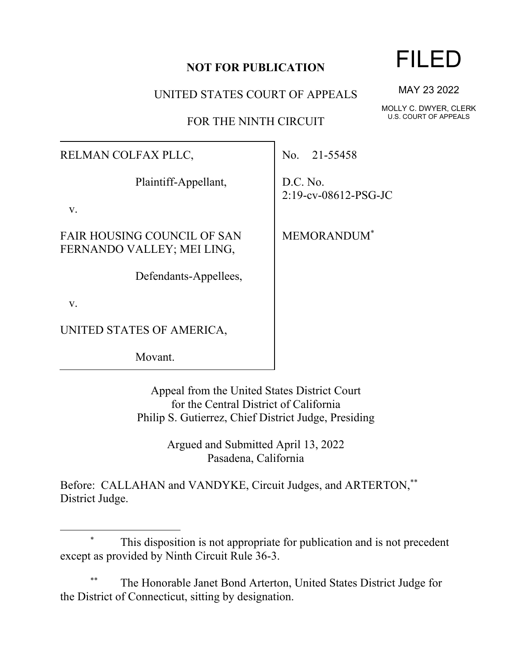## **NOT FOR PUBLICATION**

UNITED STATES COURT OF APPEALS

FOR THE NINTH CIRCUIT

## RELMAN COLFAX PLLC,

Plaintiff-Appellant,

v.

FAIR HOUSING COUNCIL OF SAN FERNANDO VALLEY; MEI LING,

Defendants-Appellees,

v.

UNITED STATES OF AMERICA,

Movant.

Appeal from the United States District Court for the Central District of California Philip S. Gutierrez, Chief District Judge, Presiding

> Argued and Submitted April 13, 2022 Pasadena, California

Before: CALLAHAN and VANDYKE, Circuit Judges, and ARTERTON,\*\* District Judge.

The Honorable Janet Bond Arterton, United States District Judge for the District of Connecticut, sitting by designation.

# MAY 23 2022

MOLLY C. DWYER, CLERK U.S. COURT OF APPEALS

No. 21-55458

D.C. No. 2:19-cv-08612-PSG-JC

MEMORANDUM\*



<sup>\*</sup> This disposition is not appropriate for publication and is not precedent except as provided by Ninth Circuit Rule 36-3.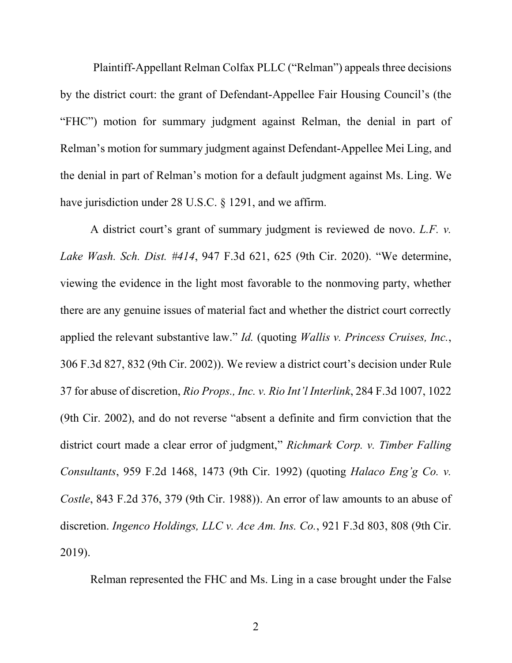Plaintiff-Appellant Relman Colfax PLLC ("Relman") appeals three decisions by the district court: the grant of Defendant-Appellee Fair Housing Council's (the "FHC") motion for summary judgment against Relman, the denial in part of Relman's motion for summary judgment against Defendant-Appellee Mei Ling, and the denial in part of Relman's motion for a default judgment against Ms. Ling. We have jurisdiction under 28 U.S.C. § 1291, and we affirm.

A district court's grant of summary judgment is reviewed de novo. *L.F. v. Lake Wash. Sch. Dist. #414*, 947 F.3d 621, 625 (9th Cir. 2020). "We determine, viewing the evidence in the light most favorable to the nonmoving party, whether there are any genuine issues of material fact and whether the district court correctly applied the relevant substantive law." *Id.* (quoting *Wallis v. Princess Cruises, Inc.*, 306 F.3d 827, 832 (9th Cir. 2002)). We review a district court's decision under Rule 37 for abuse of discretion, *Rio Props., Inc. v. Rio Int'l Interlink*, 284 F.3d 1007, 1022 (9th Cir. 2002), and do not reverse "absent a definite and firm conviction that the district court made a clear error of judgment," *Richmark Corp. v. Timber Falling Consultants*, 959 F.2d 1468, 1473 (9th Cir. 1992) (quoting *Halaco Eng'g Co. v. Costle*, 843 F.2d 376, 379 (9th Cir. 1988)). An error of law amounts to an abuse of discretion. *Ingenco Holdings, LLC v. Ace Am. Ins. Co.*, 921 F.3d 803, 808 (9th Cir. 2019).

Relman represented the FHC and Ms. Ling in a case brought under the False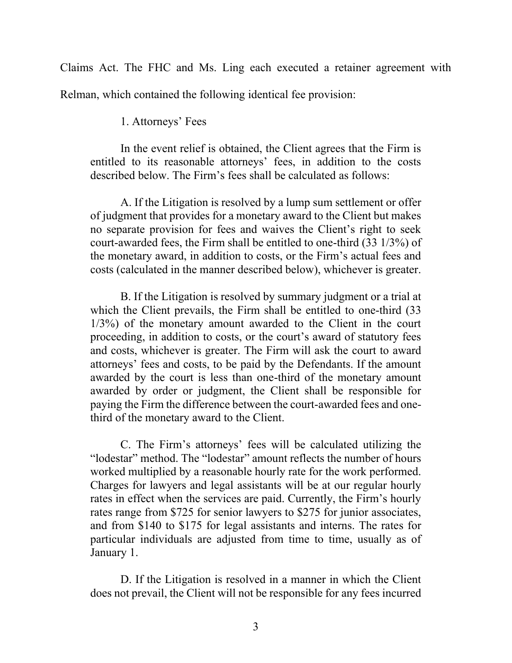Claims Act. The FHC and Ms. Ling each executed a retainer agreement with Relman, which contained the following identical fee provision:

1. Attorneys' Fees

In the event relief is obtained, the Client agrees that the Firm is entitled to its reasonable attorneys' fees, in addition to the costs described below. The Firm's fees shall be calculated as follows:

A. If the Litigation is resolved by a lump sum settlement or offer of judgment that provides for a monetary award to the Client but makes no separate provision for fees and waives the Client's right to seek court-awarded fees, the Firm shall be entitled to one-third (33 1/3%) of the monetary award, in addition to costs, or the Firm's actual fees and costs (calculated in the manner described below), whichever is greater.

B. If the Litigation is resolved by summary judgment or a trial at which the Client prevails, the Firm shall be entitled to one-third (33 1/3%) of the monetary amount awarded to the Client in the court proceeding, in addition to costs, or the court's award of statutory fees and costs, whichever is greater. The Firm will ask the court to award attorneys' fees and costs, to be paid by the Defendants. If the amount awarded by the court is less than one-third of the monetary amount awarded by order or judgment, the Client shall be responsible for paying the Firm the difference between the court-awarded fees and onethird of the monetary award to the Client.

C. The Firm's attorneys' fees will be calculated utilizing the "lodestar" method. The "lodestar" amount reflects the number of hours worked multiplied by a reasonable hourly rate for the work performed. Charges for lawyers and legal assistants will be at our regular hourly rates in effect when the services are paid. Currently, the Firm's hourly rates range from \$725 for senior lawyers to \$275 for junior associates, and from \$140 to \$175 for legal assistants and interns. The rates for particular individuals are adjusted from time to time, usually as of January 1.

D. If the Litigation is resolved in a manner in which the Client does not prevail, the Client will not be responsible for any fees incurred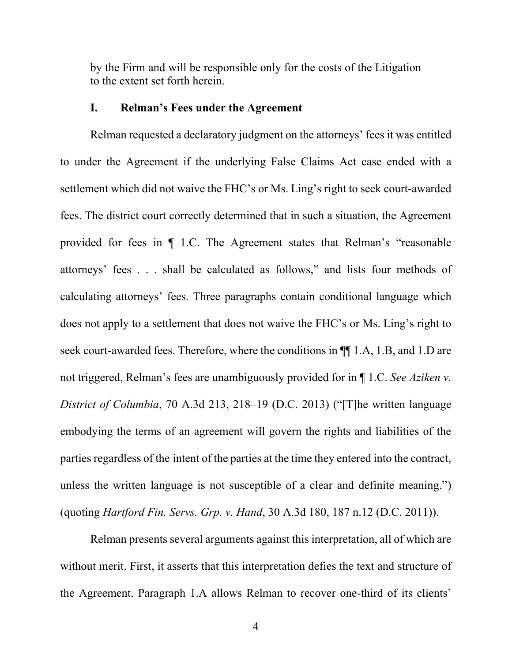by the Firm and will be responsible only for the costs of the Litigation to the extent set forth herein.

#### **I. Relman's Fees under the Agreement**

Relman requested a declaratory judgment on the attorneys' fees it was entitled to under the Agreement if the underlying False Claims Act case ended with a settlement which did not waive the FHC's or Ms. Ling's right to seek court-awarded fees. The district court correctly determined that in such a situation, the Agreement provided for fees in ¶ 1.C. The Agreement states that Relman's "reasonable attorneys' fees . . . shall be calculated as follows," and lists four methods of calculating attorneys' fees. Three paragraphs contain conditional language which does not apply to a settlement that does not waive the FHC's or Ms. Ling's right to seek court-awarded fees. Therefore, where the conditions in ¶¶ 1.A, 1.B, and 1.D are not triggered, Relman's fees are unambiguously provided for in ¶ 1.C. *See Aziken v. District of Columbia*, 70 A.3d 213, 218–19 (D.C. 2013) ("[T]he written language embodying the terms of an agreement will govern the rights and liabilities of the parties regardless of the intent of the parties at the time they entered into the contract, unless the written language is not susceptible of a clear and definite meaning.") (quoting *Hartford Fin. Servs. Grp. v. Hand*, 30 A.3d 180, 187 n.12 (D.C. 2011)).

Relman presents several arguments against this interpretation, all of which are without merit. First, it asserts that this interpretation defies the text and structure of the Agreement. Paragraph 1.A allows Relman to recover one-third of its clients'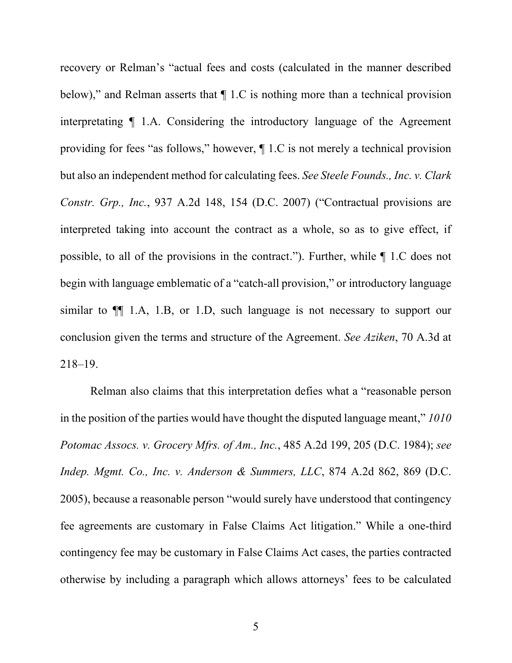recovery or Relman's "actual fees and costs (calculated in the manner described below)," and Relman asserts that  $\P$  1.C is nothing more than a technical provision interpretating ¶ 1.A. Considering the introductory language of the Agreement providing for fees "as follows," however, ¶ 1.C is not merely a technical provision but also an independent method for calculating fees. *See Steele Founds., Inc. v. Clark Constr. Grp., Inc.*, 937 A.2d 148, 154 (D.C. 2007) ("Contractual provisions are interpreted taking into account the contract as a whole, so as to give effect, if possible, to all of the provisions in the contract."). Further, while ¶ 1.C does not begin with language emblematic of a "catch-all provision," or introductory language similar to ¶¶ 1.A, 1.B, or 1.D, such language is not necessary to support our conclusion given the terms and structure of the Agreement. *See Aziken*, 70 A.3d at 218–19.

Relman also claims that this interpretation defies what a "reasonable person in the position of the parties would have thought the disputed language meant," *1010 Potomac Assocs. v. Grocery Mfrs. of Am., Inc.*, 485 A.2d 199, 205 (D.C. 1984); *see Indep. Mgmt. Co., Inc. v. Anderson & Summers, LLC*, 874 A.2d 862, 869 (D.C. 2005), because a reasonable person "would surely have understood that contingency fee agreements are customary in False Claims Act litigation." While a one-third contingency fee may be customary in False Claims Act cases, the parties contracted otherwise by including a paragraph which allows attorneys' fees to be calculated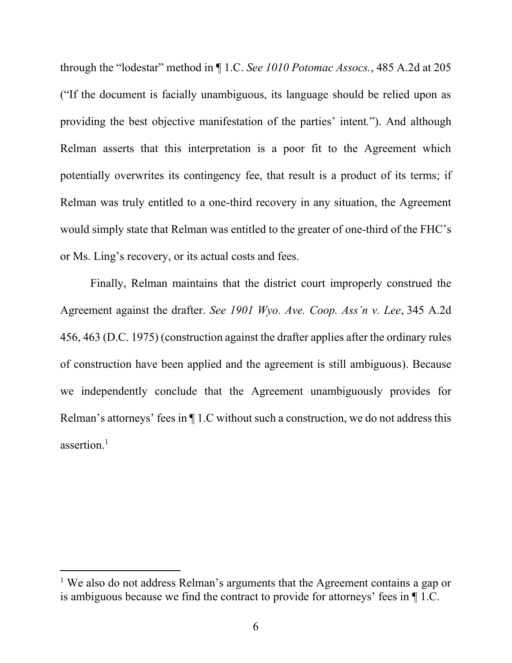through the "lodestar" method in ¶ 1.C. *See 1010 Potomac Assocs.*, 485 A.2d at 205 ("If the document is facially unambiguous, its language should be relied upon as providing the best objective manifestation of the parties' intent*.*"). And although Relman asserts that this interpretation is a poor fit to the Agreement which potentially overwrites its contingency fee, that result is a product of its terms; if Relman was truly entitled to a one-third recovery in any situation, the Agreement would simply state that Relman was entitled to the greater of one-third of the FHC's or Ms. Ling's recovery, or its actual costs and fees.

Finally, Relman maintains that the district court improperly construed the Agreement against the drafter. *See 1901 Wyo. Ave. Coop. Ass'n v. Lee*, 345 A.2d 456, 463 (D.C. 1975) (construction against the drafter applies after the ordinary rules of construction have been applied and the agreement is still ambiguous). Because we independently conclude that the Agreement unambiguously provides for Relman's attorneys' fees in ¶ 1.C without such a construction, we do not address this assertion. 1

<sup>&</sup>lt;sup>1</sup> We also do not address Relman's arguments that the Agreement contains a gap or is ambiguous because we find the contract to provide for attorneys' fees in ¶ 1.C.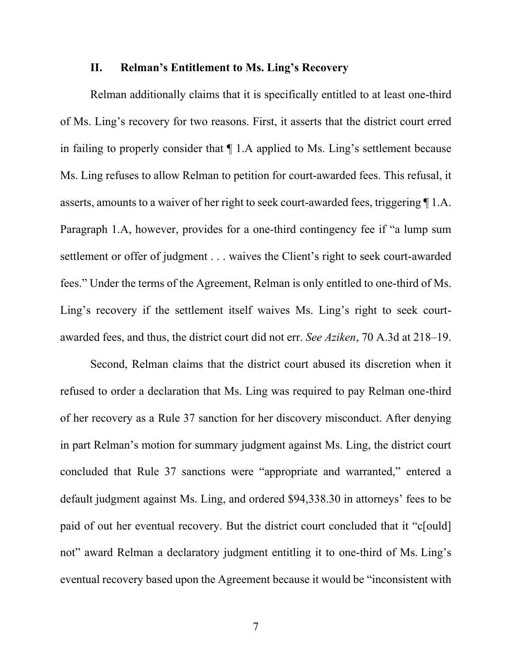### **II. Relman's Entitlement to Ms. Ling's Recovery**

Relman additionally claims that it is specifically entitled to at least one-third of Ms. Ling's recovery for two reasons. First, it asserts that the district court erred in failing to properly consider that ¶ 1.A applied to Ms. Ling's settlement because Ms. Ling refuses to allow Relman to petition for court-awarded fees. This refusal, it asserts, amounts to a waiver of her right to seek court-awarded fees, triggering ¶ 1.A. Paragraph 1.A, however, provides for a one-third contingency fee if "a lump sum settlement or offer of judgment . . . waives the Client's right to seek court-awarded fees." Under the terms of the Agreement, Relman is only entitled to one-third of Ms. Ling's recovery if the settlement itself waives Ms. Ling's right to seek courtawarded fees, and thus, the district court did not err. *See Aziken*, 70 A.3d at 218–19.

Second, Relman claims that the district court abused its discretion when it refused to order a declaration that Ms. Ling was required to pay Relman one-third of her recovery as a Rule 37 sanction for her discovery misconduct. After denying in part Relman's motion for summary judgment against Ms. Ling, the district court concluded that Rule 37 sanctions were "appropriate and warranted," entered a default judgment against Ms. Ling, and ordered \$94,338.30 in attorneys' fees to be paid of out her eventual recovery. But the district court concluded that it "c[ould] not" award Relman a declaratory judgment entitling it to one-third of Ms. Ling's eventual recovery based upon the Agreement because it would be "inconsistent with